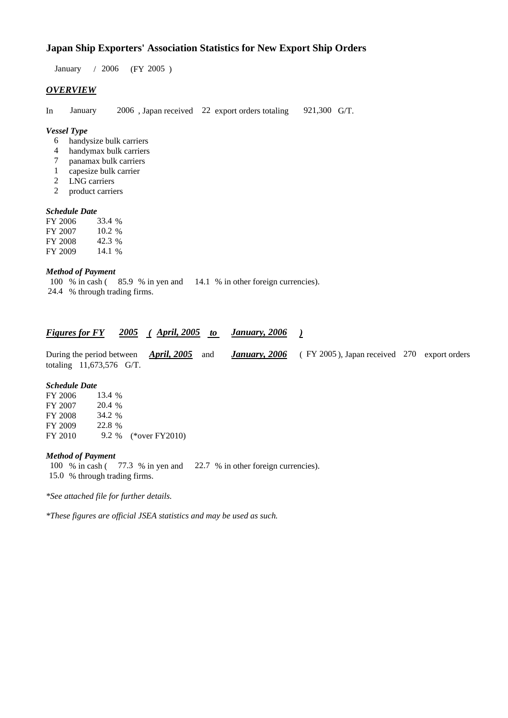## **Japan Ship Exporters' Association Statistics for New Export Ship Orders**

January / 2006 (FY 2005 )

### *OVERVIEW*

In January 2006 , Japan received 22 export orders totaling 921,300 G/T.

#### *Vessel Type*

- 6 handysize bulk carriers
- 4 handymax bulk carriers
- 7 panamax bulk carriers
- 1 capesize bulk carrier
- 2 LNG carriers
- 2 product carriers

#### *Schedule Date*

| FY 2006 | 33.4 %   |
|---------|----------|
| FY 2007 | $10.2\%$ |
| FY 2008 | 42.3%    |
| FY 2009 | 14.1 %   |

#### *Method of Payment*

100 % in cash ( 85.9 % in yen and 14.1 % in other foreign currencies). 24.4 % through trading firms.

| <b>Figures for FY</b> |  | 2005 (April, 2005) | to | January, 2006 |  |
|-----------------------|--|--------------------|----|---------------|--|
|-----------------------|--|--------------------|----|---------------|--|

During the period between *April, 2005* and *January, 2006* ( FY 2005 ), Japan received 270 export orders totaling 11,673,576 G/T.

#### *Schedule Date*

| FY 2006 | 13.4 % |                      |
|---------|--------|----------------------|
| FY 2007 | 20.4 % |                      |
| FY 2008 | 34.2 % |                      |
| FY 2009 | 22.8%  |                      |
| FY 2010 |        | 9.2 % (*over FY2010) |

#### *Method of Payment*

100 % in cash ( 77.3 % in yen and 22.7 % in other foreign currencies). 15.0 % through trading firms.

*\*See attached file for further details.*

*\*These figures are official JSEA statistics and may be used as such.*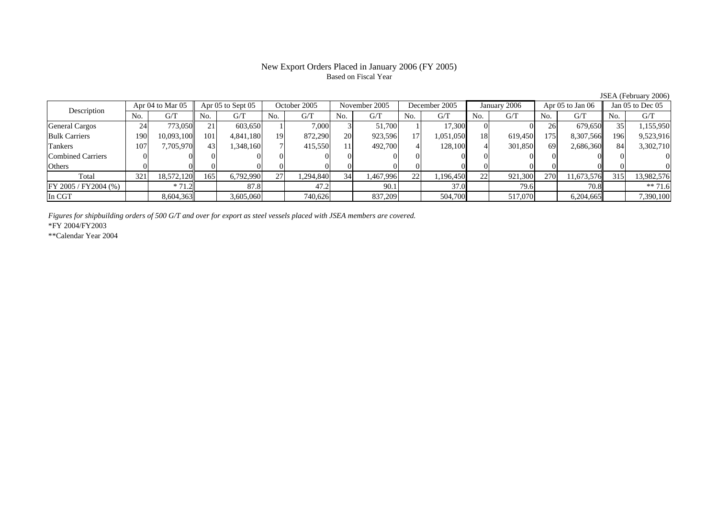### New Export Orders Placed in January 2006 (FY 2005) Based on Fiscal Year

JSEA (February 2006)

| Description              |     | Apr 04 to Mar 05 |     | Apr 05 to Sept 05 |     | October 2005 |     | November 2005 |                 | December 2005 |     | January 2006 |     | Apr $05$ to Jan $06$ |     | Jan $05$ to Dec $05$ |
|--------------------------|-----|------------------|-----|-------------------|-----|--------------|-----|---------------|-----------------|---------------|-----|--------------|-----|----------------------|-----|----------------------|
|                          | No. | G/T              | No. | G/T               | No. | G/T          | No. | G/T           | No.             | G/T           | No. | G/T          | No. | G/T                  | No. | G/T                  |
| <b>General Cargos</b>    | 24  | 773,050          | 21  | 603.650           |     | 7.000        |     | 51.700        |                 | 17,300        |     |              | 26  | 679,650              | 35. | 1,155,950            |
| <b>Bulk Carriers</b>     | 190 | 10,093,100       | 101 | 4,841,180         | 19  | 872,290      | 20  | 923,596       | 17 <sup>1</sup> | 1,051,050     | 18  | 619,450      | 175 | 8,307,566            | 196 | 9,523,916            |
| Tankers                  | 107 | 7.705.970        | 43  | ,348,160          |     | 415,550      |     | 492,700       | 4               | 128,100       |     | 301,850      | 69  | 2,686,360            | 84  | 3,302,710            |
| <b>Combined Carriers</b> |     |                  |     |                   |     |              |     |               |                 |               |     |              |     |                      |     |                      |
| Others                   |     |                  |     |                   |     |              |     |               |                 |               |     |              |     |                      |     |                      |
| Total                    | 321 | 18,572,120       | 165 | 6,792,990         | 27  | 1,294,840    | 34  | .467,996      | 22              | 1,196,450     | 22  | 921,300      | 270 | 11,673,576           | 315 | 13,982,576           |
| $FY 2005 / FY 2004$ (%)  |     | $*71.2$          |     | 87.8              |     | 47.2         |     | 90.1          |                 | 37.0          |     | 79.6         |     | 70.8                 |     | $** 71.6$            |
| In CGT                   |     | 8,604,363        |     | 3,605,060         |     | 740,626      |     | 837,209       |                 | 504,700       |     | 517,070      |     | 6,204,665            |     | 7,390,100            |

*Figures for shipbuilding orders of 500 G/T and over for export as steel vessels placed with JSEA members are covered.*

\*FY 2004/FY2003

\*\*Calendar Year 2004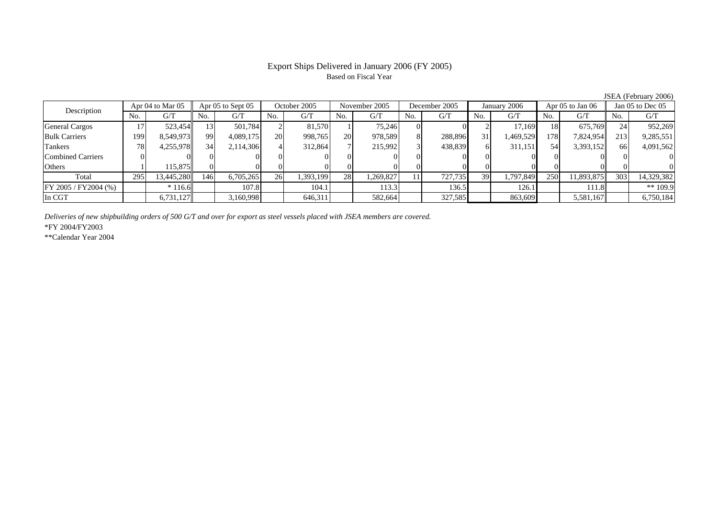# Based on Fiscal Year

Description Apr 04 to Mar 05 Apr 05 to Sept 05 October 2005 November 2005 December 2005 January 2006 Apr 05 to Jan 06 Jan 05 to Dec 05<br>No. 1 G/T No. 1 G/T No. 1 G/T No. 1 G/T No. 1 G/T No. 1 G/T No. 1 G/T No. 1 G/T No. 1 G No.  $G/T$ T || No. | G/T || No. | G/T || No. | G/T || No. | G/T || G/T || No. | G/T || No. | G/T || No. | G/T General Cargos ( 17 | 523,454|| 13| 501,784| 2| 81,570| 1| 75,246| 0| 0| 2| 17,169| 18| 675,769|| 24| 952,269 Bulk Carriers 1999| 8,549,973|| 99| 4,089,175| 20| 998,765| 20| 978,589| 8| 288,896| 31| 1,469,529| 178| 7,824,954|| 213| 9,285,551 Tankers 788| 4,255,978|| 34| 2,114,306| 4| 312,864| 7| 215,992| 3| 438,839| 6| 311,151| 54| 3,393,152|| 66| 4,091,562 Combined Carriers 0 0 0 0 0 0 0 0 0 0 0 0 0 0 0 0 **Others** s and  $1$  115,875 0 0 0 0 0 0 0 0 0 0 0 0 0 0 Total 2955| 13,445,280|| 146| 6,705,265| 26| 1,393,199| 28| 1,269,827| 11| 727,735| 39| 1,797,849| 250| 11,893,875|| 303| 14,329,382 FY 2005 / FY2004 (%) \* 116.6 107.8 104.1 113.3 136.5 126.1 111.8 \*\* 109.9 In CGT6,731,127 3,160,998 646,311 582,664 327,585 863,609 5,581,167 6,750,184

*Deliveries of new shipbuilding orders of 500 G/T and over for export as steel vessels placed with JSEA members are covered.*

\*FY 2004/FY2003

\*\*Calendar Year 2004

JSEA (February 2006)

# Export Ships Delivered in January 2006 (FY 2005)